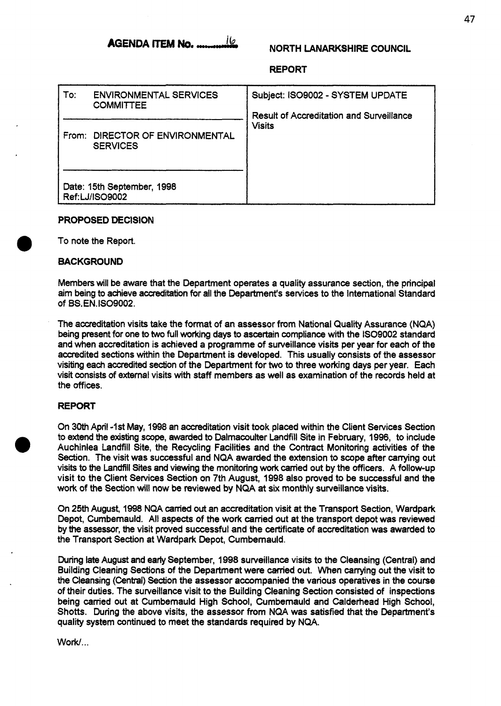**AGENDA ITEM No. ................** 

# **NORTH LANARKSHIRE COUNCIL**

# **REPORT**

| $\mathsf{To}$ :                              | <b>ENVIRONMENTAL SERVICES</b><br><b>COMMITTEE</b> | Subject: ISO9002 - SYSTEM UPDATE<br><b>Result of Accreditation and Surveillance</b><br><b>Visits</b> |
|----------------------------------------------|---------------------------------------------------|------------------------------------------------------------------------------------------------------|
| From:                                        | DIRECTOR OF ENVIRONMENTAL<br><b>SERVICES</b>      |                                                                                                      |
| Date: 15th September, 1998<br>Ref:LJ/ISO9002 |                                                   |                                                                                                      |

# **PROPOSED DECISION**

*0* To note the Report.

#### **BACKGROUND**

Members will be aware that the Department operates a quality assurance section, the principal aim being to achieve accreditation for all the Department's services to the International Standard of **BS.EN.IS09002.** 

The accreditation visits take the format of an assessor from National **Qualtty** Assurance (NQA) being present for one to two full working days to ascertain compliance with the IS09002 standard and when accreditation is achieved a programme of surveillance visits per year for each of the accredited sections within the Department is developed. This usually consists of the assessor visiting each accredited section of the Department for **two** to three working days per year. Each visit consists of external visits with staff members as well as examination of the records held at the offices.

## **REPORT**

On **30th** April -1st May, 1998 an accreditation visit took placed within the Client Services Section to extend the existing **scope,** awarded to Dalrnacoulter Landfill Site in February, 1996, to include Auchinlea Landfill Site, the Recycling Facilities and the Contract Monitoring activities of the Section. The visit was successful and NQA awarded the extension to scope after carrying out visits to the Landfill Sies and viewing the monitoring **WO&** canied out by the officers. A follow-up visit to the Client Services Section **on** 7th August, 1998 also proved to be successful and the work of the Section will now be reviewed by NQA **at** six monthly surveillance visits.

On 25th August, 1998 NQA **canied out** an accreditation visit at the Transport Section, Wardpark Depot, Cumbemauld. All aspects of the work carried out at the transport depot was reviewed by the assessor, the visit proved successfut and the certificate of accreditation was awarded to the Transport Section at Wardpark Depot, Cumbemauld.

During **late** August and early September, 1998 surveillance visits to the Cleansing (Central) and Building Cleaning Sections of the Department were carried out. When carrying out the visit to the Cleansing **(Central)** Section the assessor accompanied the various operatives in the course of their duties. The surveillance visit to the Building Cleaning Section consisted of inspections being carried out at Cumbemauld High School, Cumbemauld and Calderhead High School, Shotts. During the above visits, the assessor from NQA was satisfied that the Department's quality system continued to meet the standards required by NQA.

Work/...